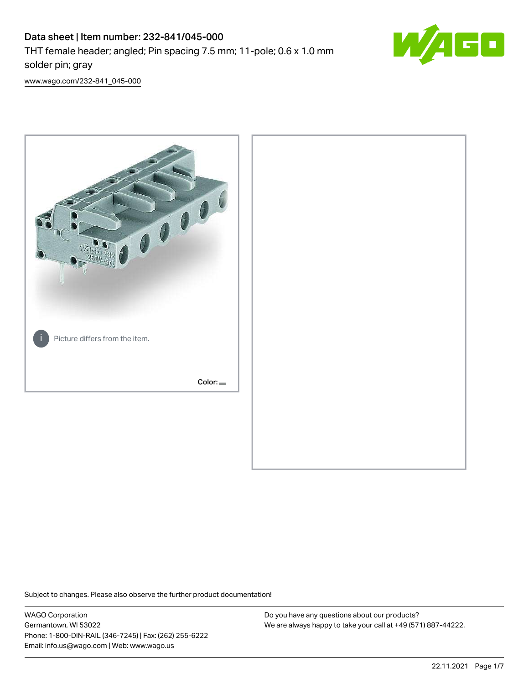# Data sheet | Item number: 232-841/045-000 THT female header; angled; Pin spacing 7.5 mm; 11-pole; 0.6 x 1.0 mm solder pin; gray



[www.wago.com/232-841\\_045-000](http://www.wago.com/232-841_045-000)



Subject to changes. Please also observe the further product documentation!

WAGO Corporation Germantown, WI 53022 Phone: 1-800-DIN-RAIL (346-7245) | Fax: (262) 255-6222 Email: info.us@wago.com | Web: www.wago.us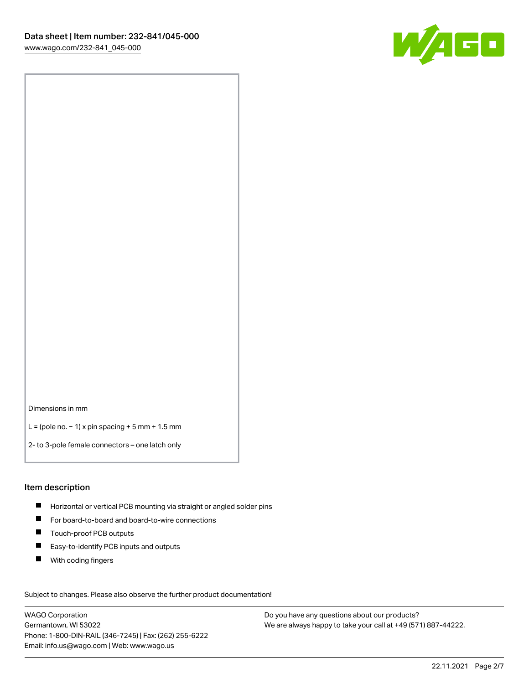

Dimensions in mm

L = (pole no. − 1) x pin spacing + 5 mm + 1.5 mm

2- to 3-pole female connectors – one latch only

#### Item description

- **H** Horizontal or vertical PCB mounting via straight or angled solder pins
- For board-to-board and board-to-wire connections
- Touch-proof PCB outputs  $\blacksquare$
- $\blacksquare$ Easy-to-identify PCB inputs and outputs
- $\blacksquare$ With coding fingers

Subject to changes. Please also observe the further product documentation! Data

WAGO Corporation Germantown, WI 53022 Phone: 1-800-DIN-RAIL (346-7245) | Fax: (262) 255-6222 Email: info.us@wago.com | Web: www.wago.us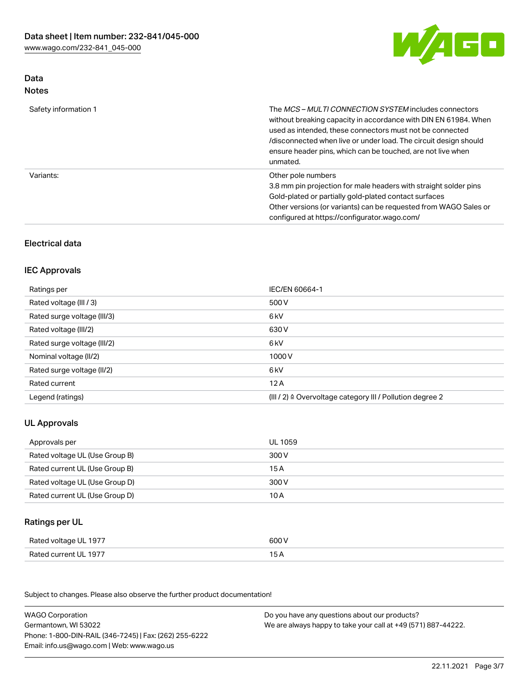

# Data Notes

| Safety information 1 | The <i>MCS – MULTI CONNECTION SYSTEM</i> includes connectors<br>without breaking capacity in accordance with DIN EN 61984. When<br>used as intended, these connectors must not be connected<br>/disconnected when live or under load. The circuit design should<br>ensure header pins, which can be touched, are not live when<br>unmated. |
|----------------------|--------------------------------------------------------------------------------------------------------------------------------------------------------------------------------------------------------------------------------------------------------------------------------------------------------------------------------------------|
| Variants:            | Other pole numbers<br>3.8 mm pin projection for male headers with straight solder pins<br>Gold-plated or partially gold-plated contact surfaces<br>Other versions (or variants) can be requested from WAGO Sales or<br>configured at https://configurator.wago.com/                                                                        |

# Electrical data

## IEC Approvals

| Ratings per                 | IEC/EN 60664-1                                                        |
|-----------------------------|-----------------------------------------------------------------------|
| Rated voltage (III / 3)     | 500 V                                                                 |
| Rated surge voltage (III/3) | 6 kV                                                                  |
| Rated voltage (III/2)       | 630 V                                                                 |
| Rated surge voltage (III/2) | 6 kV                                                                  |
| Nominal voltage (II/2)      | 1000 V                                                                |
| Rated surge voltage (II/2)  | 6 kV                                                                  |
| Rated current               | 12A                                                                   |
| Legend (ratings)            | $(III / 2)$ $\triangle$ Overvoltage category III / Pollution degree 2 |

# UL Approvals

| Approvals per                  | UL 1059 |
|--------------------------------|---------|
| Rated voltage UL (Use Group B) | 300 V   |
| Rated current UL (Use Group B) | 15 A    |
| Rated voltage UL (Use Group D) | 300 V   |
| Rated current UL (Use Group D) | 10 A    |

# Ratings per UL

| Rated voltage UL 1977 | 600 V |
|-----------------------|-------|
| Rated current UL 1977 |       |

Subject to changes. Please also observe the further product documentation!

| <b>WAGO Corporation</b>                                | Do you have any questions about our products?                 |
|--------------------------------------------------------|---------------------------------------------------------------|
| Germantown, WI 53022                                   | We are always happy to take your call at +49 (571) 887-44222. |
| Phone: 1-800-DIN-RAIL (346-7245)   Fax: (262) 255-6222 |                                                               |
| Email: info.us@wago.com   Web: www.wago.us             |                                                               |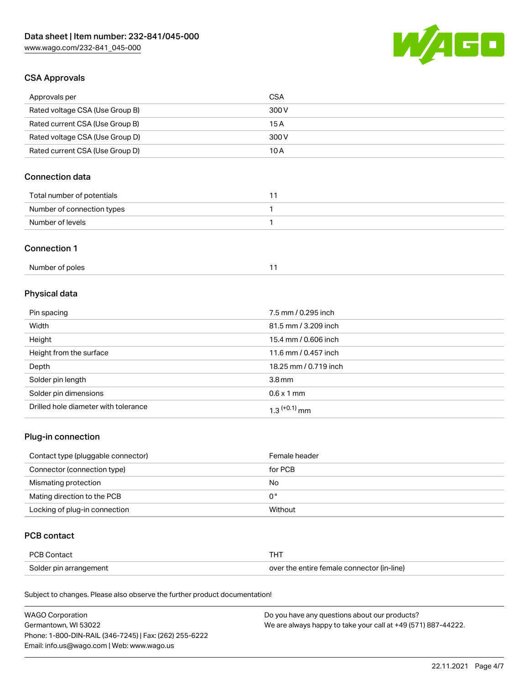

## CSA Approvals

| Approvals per                   | CSA   |
|---------------------------------|-------|
| Rated voltage CSA (Use Group B) | 300 V |
| Rated current CSA (Use Group B) | 15 A  |
| Rated voltage CSA (Use Group D) | 300 V |
| Rated current CSA (Use Group D) | 10 A  |

# Connection data

| Total number of potentials |  |
|----------------------------|--|
| Number of connection types |  |
| Number of levels           |  |

#### Connection 1

| Number of poles |  |
|-----------------|--|
|                 |  |

# Physical data

| Pin spacing                          | 7.5 mm / 0.295 inch   |
|--------------------------------------|-----------------------|
| Width                                | 81.5 mm / 3.209 inch  |
| Height                               | 15.4 mm / 0.606 inch  |
| Height from the surface              | 11.6 mm / 0.457 inch  |
| Depth                                | 18.25 mm / 0.719 inch |
| Solder pin length                    | 3.8 <sub>mm</sub>     |
| Solder pin dimensions                | $0.6 \times 1$ mm     |
| Drilled hole diameter with tolerance | $1.3$ $(+0.1)$ mm     |

# Plug-in connection

| Contact type (pluggable connector) | Female header |
|------------------------------------|---------------|
| Connector (connection type)        | for PCB       |
| Mismating protection               | No            |
| Mating direction to the PCB        | 0°            |
| Locking of plug-in connection      | Without       |

## PCB contact

| PCB Contact            | тнт                                        |
|------------------------|--------------------------------------------|
| Solder pin arrangement | over the entire female connector (in-line) |

Subject to changes. Please also observe the further product documentation!

| <b>WAGO Corporation</b>                                | Do you have any questions about our products?                 |
|--------------------------------------------------------|---------------------------------------------------------------|
| Germantown, WI 53022                                   | We are always happy to take your call at +49 (571) 887-44222. |
| Phone: 1-800-DIN-RAIL (346-7245)   Fax: (262) 255-6222 |                                                               |
| Email: info.us@wago.com   Web: www.wago.us             |                                                               |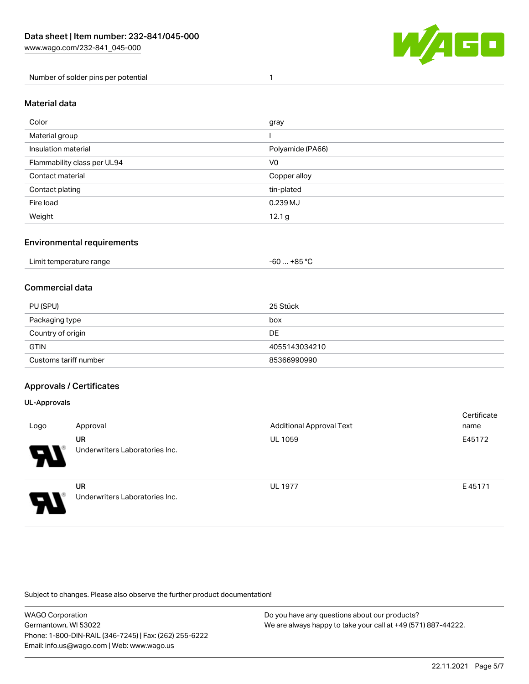

Number of solder pins per potential 1

## Material data

| Color                       | gray              |
|-----------------------------|-------------------|
| Material group              |                   |
| Insulation material         | Polyamide (PA66)  |
| Flammability class per UL94 | V <sub>0</sub>    |
| Contact material            | Copper alloy      |
| Contact plating             | tin-plated        |
| Fire load                   | 0.239 MJ          |
| Weight                      | 12.1 <sub>g</sub> |

## Environmental requirements

| Limit temperature range<br>. | $. +85 °C$<br>-60 |  |
|------------------------------|-------------------|--|
|------------------------------|-------------------|--|

## Commercial data

| PU (SPU)              | 25 Stück      |
|-----------------------|---------------|
| Packaging type        | box           |
| Country of origin     | DE            |
| <b>GTIN</b>           | 4055143034210 |
| Customs tariff number | 85366990990   |

## Approvals / Certificates

#### UL-Approvals

| Logo | Approval                                    | <b>Additional Approval Text</b> | Certificate<br>name |
|------|---------------------------------------------|---------------------------------|---------------------|
| P.   | <b>UR</b><br>Underwriters Laboratories Inc. | <b>UL 1059</b>                  | E45172              |
| J    | <b>UR</b><br>Underwriters Laboratories Inc. | <b>UL 1977</b>                  | E45171              |

Subject to changes. Please also observe the further product documentation!

| WAGO Corporation                                       | Do you have any questions about our products?                 |
|--------------------------------------------------------|---------------------------------------------------------------|
| Germantown, WI 53022                                   | We are always happy to take your call at +49 (571) 887-44222. |
| Phone: 1-800-DIN-RAIL (346-7245)   Fax: (262) 255-6222 |                                                               |
| Email: info.us@wago.com   Web: www.wago.us             |                                                               |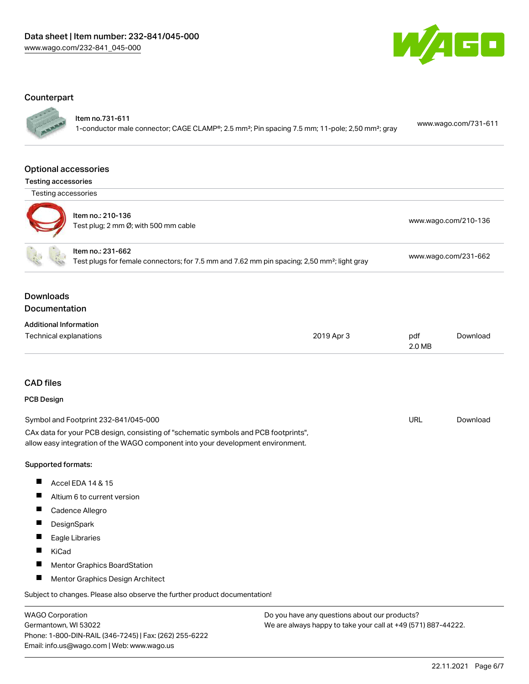

#### **Counterpart**

Item no.731-611

1-conductor male connector; CAGE CLAMP®; 2.5 mm²; Pin spacing 7.5 mm; 11-pole; 2,50 mm²; gray [www.wago.com/731-611](https://www.wago.com/731-611)

#### Optional accessories

Testing accessories



| Item no.: 210-136<br>Test plug; 2 mm Ø; with 500 mm cable | www.wago.com/210-136 |
|-----------------------------------------------------------|----------------------|
| Item no.: 231-662                                         | .                    |

Test plugs for female connectors; for 7.5 mm and 7.62 mm pin spacing; 2,50 mm²; light gray [www.wago.com/231-662](http://www.wago.com/231-662)

## Downloads Documentation

| <b>Additional Information</b> |            |        |          |
|-------------------------------|------------|--------|----------|
| Technical explanations        | 2019 Apr 3 | pdf    | Download |
|                               |            | 2.0 MB |          |

## CAD files

## PCB Design

| Symbol and Footprint 232-841/045-000                                                | URL | Download |
|-------------------------------------------------------------------------------------|-----|----------|
| CAx data for your PCB design, consisting of "schematic symbols and PCB footprints", |     |          |
| allow easy integration of the WAGO component into your development environment.     |     |          |

#### Supported formats:

- $\blacksquare$ Accel EDA 14 & 15
- $\blacksquare$ Altium 6 to current version
- $\blacksquare$ Cadence Allegro
- $\blacksquare$ **DesignSpark**
- $\blacksquare$ Eagle Libraries
- $\blacksquare$ KiCad
- $\blacksquare$ Mentor Graphics BoardStation
- $\blacksquare$ Mentor Graphics Design Architect

Subject to changes. Please also observe the further product documentation!

WAGO Corporation Germantown, WI 53022 Phone: 1-800-DIN-RAIL (346-7245) | Fax: (262) 255-6222 Email: info.us@wago.com | Web: www.wago.us